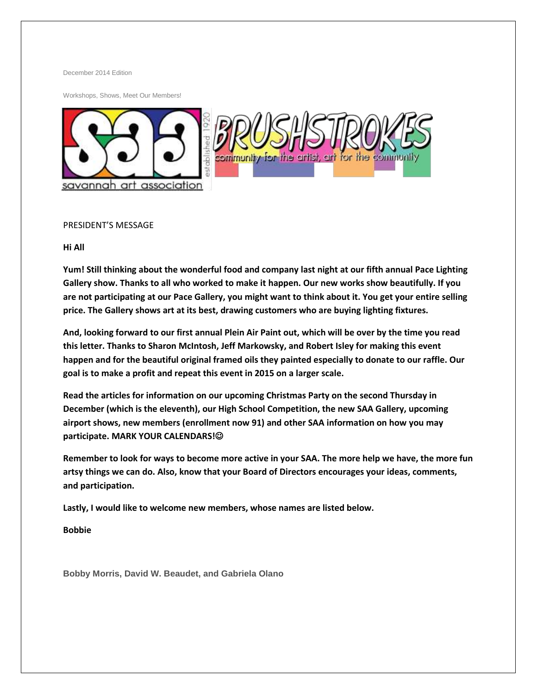December 2014 Edition

Workshops, Shows, Meet Our Members!



#### PRESIDENT'S MESSAGE

**Hi All**

**Yum! Still thinking about the wonderful food and company last night at our fifth annual Pace Lighting Gallery show. Thanks to all who worked to make it happen. Our new works show beautifully. If you are not participating at our Pace Gallery, you might want to think about it. You get your entire selling price. The Gallery shows art at its best, drawing customers who are buying lighting fixtures.**

**And, looking forward to our first annual Plein Air Paint out, which will be over by the time you read this letter. Thanks to Sharon McIntosh, Jeff Markowsky, and Robert Isley for making this event happen and for the beautiful original framed oils they painted especially to donate to our raffle. Our goal is to make a profit and repeat this event in 2015 on a larger scale.**

**Read the articles for information on our upcoming Christmas Party on the second Thursday in December (which is the eleventh), our High School Competition, the new SAA Gallery, upcoming airport shows, new members (enrollment now 91) and other SAA information on how you may participate. MARK YOUR CALENDARS!**

**Remember to look for ways to become more active in your SAA. The more help we have, the more fun artsy things we can do. Also, know that your Board of Directors encourages your ideas, comments, and participation.**

**Lastly, I would like to welcome new members, whose names are listed below.**

**Bobbie**

**Bobby Morris, David W. Beaudet, and Gabriela Olano**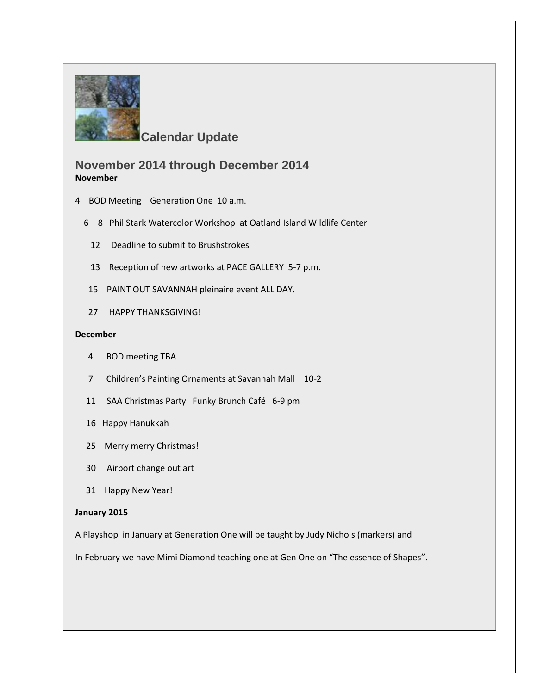

**Calendar Update**

# **November 2014 through December 2014 November**

- 4 BOD Meeting Generation One 10 a.m.
	- 6 8 Phil Stark Watercolor Workshop at Oatland Island Wildlife Center
		- 12 Deadline to submit to Brushstrokes
		- 13 Reception of new artworks at PACE GALLERY 5-7 p.m.
	- 15 PAINT OUT SAVANNAH pleinaire event ALL DAY.
	- 27 HAPPY THANKSGIVING!

#### **December**

- 4 BOD meeting TBA
- 7 Children's Painting Ornaments at Savannah Mall 10-2
- 11 SAA Christmas Party Funky Brunch Café 6-9 pm
- 16 Happy Hanukkah
- 25 Merry merry Christmas!
- 30 Airport change out art
- 31 Happy New Year!

#### **January 2015**

A Playshop in January at Generation One will be taught by Judy Nichols (markers) and

In February we have Mimi Diamond teaching one at Gen One on "The essence of Shapes".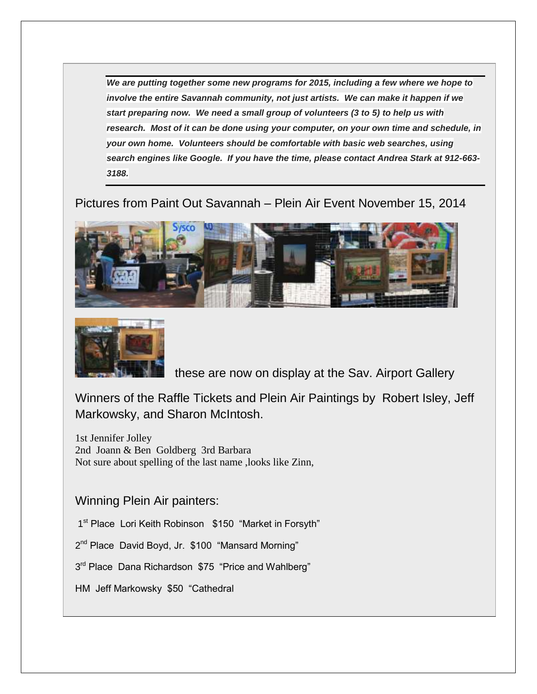*We are putting together some new programs for 2015, including a few where we hope to involve the entire Savannah community, not just artists. We can make it happen if we start preparing now. We need a small group of volunteers (3 to 5) to help us with research. Most of it can be done using your computer, on your own time and schedule, in your own home. Volunteers should be comfortable with basic web searches, using search engines like Google. If you have the time, please contact Andrea Stark at 912-663- 3188.*

Pictures from Paint Out Savannah – Plein Air Event November 15, 2014





these are now on display at the Sav. Airport Gallery

Winners of the Raffle Tickets and Plein Air Paintings by Robert Isley, Jeff Markowsky, and Sharon McIntosh.

1st Jennifer Jolley 2nd Joann & Ben Goldberg 3rd Barbara Not sure about spelling of the last name ,looks like Zinn,

Winning Plein Air painters:

1<sup>st</sup> Place Lori Keith Robinson \$150 "Market in Forsyth"

2<sup>nd</sup> Place David Boyd, Jr. \$100 "Mansard Morning"

3<sup>rd</sup> Place Dana Richardson \$75 "Price and Wahlberg"

HM Jeff Markowsky \$50 "Cathedral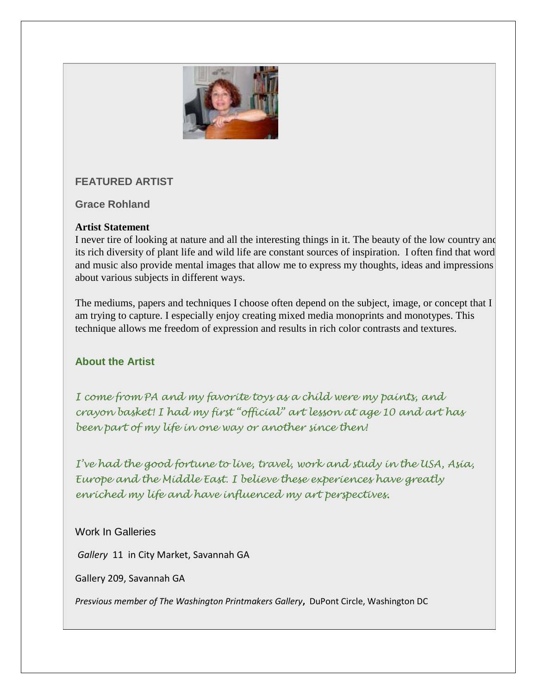

# **FEATURED ARTIST**

**Grace Rohland**

# **Artist Statement**

I never tire of looking at nature and all the interesting things in it. The beauty of the low country and its rich diversity of plant life and wild life are constant sources of inspiration. I often find that word and music also provide mental images that allow me to express my thoughts, ideas and impressions about various subjects in different ways.

The mediums, papers and techniques I choose often depend on the subject, image, or concept that I am trying to capture. I especially enjoy creating mixed media monoprints and monotypes. This technique allows me freedom of expression and results in rich color contrasts and textures.

# **About the Artist**

*I come from PA and my favorite toys as a child were my paints, and crayon basket! I had my first "official" art lesson at age 10 and art has been part of my life in one way or another since then!* 

*I've had the good fortune to live, travel, work and study in the USA, Asia, Europe and the Middle East. I believe these experiences have greatly enriched my life and have influenced my art perspectives.* 

# Work In Galleries

*Gallery* 11 in City Market, Savannah GA

Gallery 209, Savannah GA

*Presvious member of The Washington Printmakers Gallery***,** DuPont Circle, Washington DC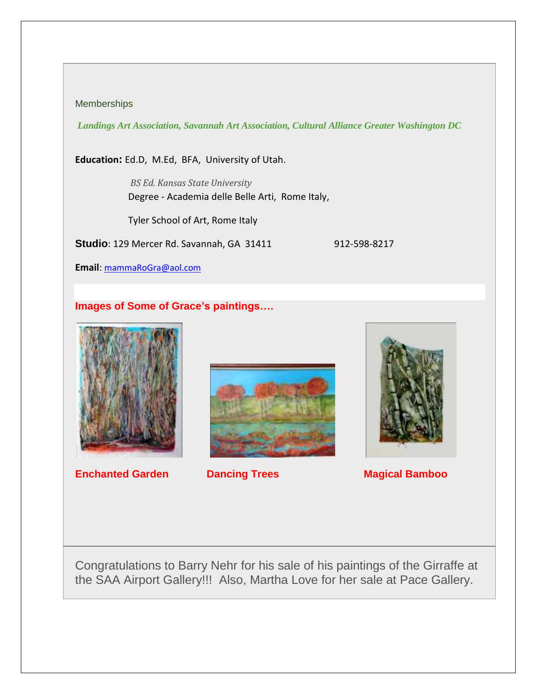#### **Memberships**

*Landings Art Association, Savannah Art Association, Cultural Alliance Greater Washington DC*

**Education:** Ed.D, M.Ed, BFA, University of Utah.

*BS Ed. Kansas State University* Degree - Academia delle Belle Arti, Rome Italy,

Tyler School of Art, Rome Italy

**Studio**: 129 Mercer Rd. Savannah, GA 31411 912-598-8217

**Email**: [mammaRoGra@aol.com](mailto:mammaRoGra@aol.com)

# **Images of Some of Grace's paintings….**



**Enchanted Garden Cancing Trees Magical Bamboo** 





Congratulations to Barry Nehr for his sale of his paintings of the Girraffe at the SAA Airport Gallery!!! Also, Martha Love for her sale at Pace Gallery.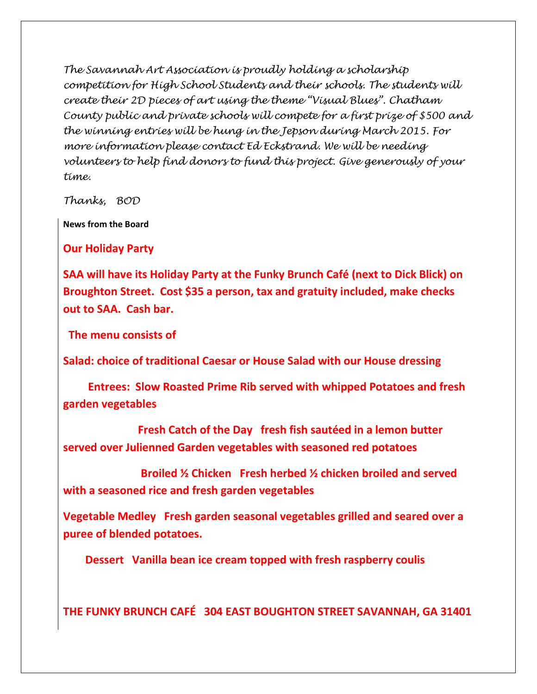*The Savannah Art Association is proudly holding a scholarship competition for High School Students and their schools. The students will create their 2D pieces of art using the theme "Visual Blues". Chatham County public and private schools will compete for a first prize of \$500 and the winning entries will be hung in the Jepson during March 2015. For more information please contact Ed Eckstrand. We will be needing volunteers to help find donors to fund this project. Give generously of your time.*

*Thanks, BOD*

**News from the Board**

**Our Holiday Party**

**SAA will have its Holiday Party at the Funky Brunch Café (next to Dick Blick) on Broughton Street. Cost \$35 a person, tax and gratuity included, make checks out to SAA. Cash bar.**

 **The menu consists of**

**Salad: choice of traditional Caesar or House Salad with our House dressing**

 **Entrees: Slow Roasted Prime Rib served with whipped Potatoes and fresh garden vegetables**

 **Fresh Catch of the Day fresh fish sautéed in a lemon butter served over Julienned Garden vegetables with seasoned red potatoes**

 **Broiled ½ Chicken Fresh herbed ½ chicken broiled and served with a seasoned rice and fresh garden vegetables**

**Vegetable Medley Fresh garden seasonal vegetables grilled and seared over a puree of blended potatoes.**

 **Dessert Vanilla bean ice cream topped with fresh raspberry coulis**

**THE FUNKY BRUNCH CAFÉ 304 EAST BOUGHTON STREET SAVANNAH, GA 31401**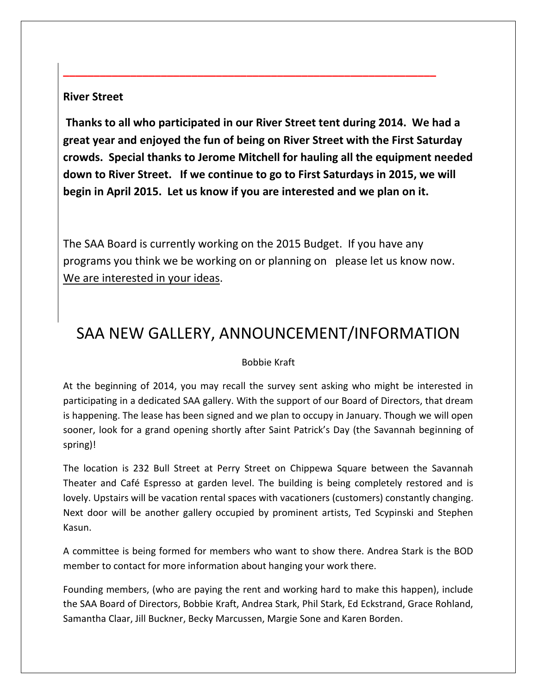## **River Street**

**Thanks to all who participated in our River Street tent during 2014. We had a great year and enjoyed the fun of being on River Street with the First Saturday crowds. Special thanks to Jerome Mitchell for hauling all the equipment needed down to River Street. If we continue to go to First Saturdays in 2015, we will begin in April 2015. Let us know if you are interested and we plan on it.**

**\_\_\_\_\_\_\_\_\_\_\_\_\_\_\_\_\_\_\_\_\_\_\_\_\_\_\_\_\_\_\_\_\_\_\_\_\_\_\_\_\_\_\_\_\_\_\_\_\_\_\_\_\_\_\_\_\_\_\_\_\_**

The SAA Board is currently working on the 2015 Budget. If you have any programs you think we be working on or planning on please let us know now. We are interested in your ideas.

# SAA NEW GALLERY, ANNOUNCEMENT/INFORMATION

### Bobbie Kraft

At the beginning of 2014, you may recall the survey sent asking who might be interested in participating in a dedicated SAA gallery. With the support of our Board of Directors, that dream is happening. The lease has been signed and we plan to occupy in January. Though we will open sooner, look for a grand opening shortly after Saint Patrick's Day (the Savannah beginning of spring)!

The location is 232 Bull Street at Perry Street on Chippewa Square between the Savannah Theater and Café Espresso at garden level. The building is being completely restored and is lovely. Upstairs will be vacation rental spaces with vacationers (customers) constantly changing. Next door will be another gallery occupied by prominent artists, Ted Scypinski and Stephen Kasun.

A committee is being formed for members who want to show there. Andrea Stark is the BOD member to contact for more information about hanging your work there.

Founding members, (who are paying the rent and working hard to make this happen), include the SAA Board of Directors, Bobbie Kraft, Andrea Stark, Phil Stark, Ed Eckstrand, Grace Rohland, Samantha Claar, Jill Buckner, Becky Marcussen, Margie Sone and Karen Borden.